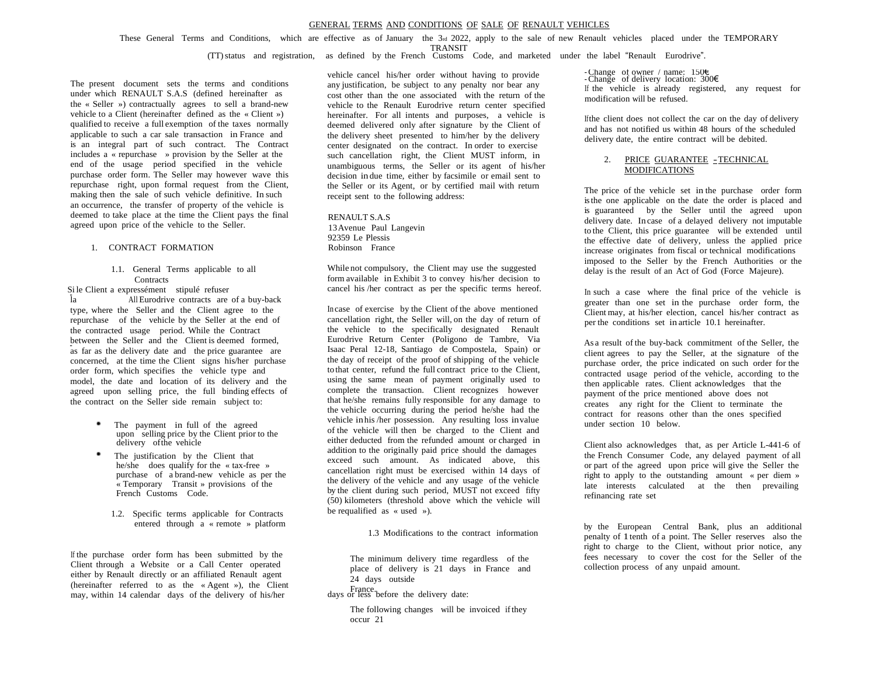These General Terms and Conditions, which are effective as of January the 3rd 2022, apply to the sale of new Renault vehicles placed under the TEMPORARY

TRANSIT

(TT)status and registration, as defined by the French Customs Code, and marketed under the label "Renault Eurodrive".

The present document sets the terms and conditions under which RENAULT S.A.S (defined hereinafter as the « Seller ») contractually agrees to sell a brand-new vehicle to a Client (hereinafter defined as the « Client ») qualified to receive a full exemption of the taxes normally applicable to such <sup>a</sup> car sale transaction in France and is an integral part of such contract. The Contract includes <sup>a</sup> « repurchase » provision by the Seller at the end of the usage period specified in the vehicle purchase order form. The Seller may however wave this repurchase right, upon formal request from the Client, making then the sale of such vehicle definitive. In such an occurrence, the transfer of property of the vehicle is deemed to take place at the time the Client pays the final agreed upon price of the vehicle to the Seller.

#### 1. CONTRACT FORMATION

## 1.1. General Terms applicable to all **Contracts**

Si le Client a expressément stipulé refuser<br>
la del Burodrive contracts are of a buy-back 1.1. General Terms applicable to all<br>
Sile Client a expressément stipulé refuser<br>
la all Eurodrive contracts are of a buy-back<br>
type, where the Seller and the Client agree to the repurchase of the vehicle by the Seller at the end of the contracted usage period. While the Contract between the Seller and the Client is deemed formed, as far as the delivery date and the price guarantee are concerned, at the time the Client signs his/her purchase order form, which specifies the vehicle type and model, the date and location of its delivery and the agreed upon selling price, the full binding effects of the contract on the Seller side remain subject to:  $\overline{a}$ 

- The payment in full of the agreed upon selling price by the Client prior to the delivery of the vehicle
- The justification by the Client that he/she does qualify for the « tax-free » purchase of a brand-new vehicle as per the purchase of a brand-new vehicle as per<br>
<u>Exemporary</u> Transit » provisions of the « Temporary Transit »<br>French Customs Code.
	- 1.2. Specific terms applicable for Contracts entered through a « remote » platform

If the purchase order form has been submitted by the Client through <sup>a</sup> Website or <sup>a</sup> Call Center operated either by Renault directly or an affiliated Renault agent (hereinafter referred to as the « Agent »), the Client may, within 14 calendar days of the delivery of his/her osite<br>ctly<br>to<br>ar

vehicle cancel his/her order without having to provide any justification, be subject to any penalty nor bear any cost other than the one associated with the return of the vehicle to the Renault Eurodrive return center specified hereinafter. For all intents and purposes, a vehicle is deemed delivered only after signature by the Client of the delivery sheet presented to him/her by the delivery center designated on the contract. In order to exercise such cancellation right, the Client MUST inform, in unambiguous terms, the Seller or its agent of his/her decision in due time, either by facsimile or email sent to the Seller or its Agent, or by certified mail with return receipt sent to the following address:

RENAULT S.A.S 13Avenue Paul Langevin 92359 Le Plessis Robinson France

While not compulsory, the Client may use the suggested form available in Exhibit 3 to convey his/her decision to cancel his /her contract as per the specific terms hereof.

In case of exercise by the Client of the above mentioned cancellation right, the Seller will, on the day of return of the vehicle to the specifically designated Renault Eurodrive Return Center (Poligono de Tambre, Via Isaac Peral 12-18, Santiago de Compostela, Spain) or the day of receipt of the proof of shipping of the vehicle to that center, refund the full contract price to the Client, using the same mean of payment originally used to complete the transaction. Client recognizes however that he/she remains fully responsible for any damage to the vehicle occurring during the period he/she had the vehicle inhis /her possession. Any resulting loss invalue of the vehicle will then be charged to the Client and either deducted from the refunded amount or charged in addition to the originally paid price should the damages exceed such amount. As indicated above, this cancellation right must be exercised within 14 days of the delivery of the vehicle and any usage of the vehicle by the client during such period, MUST not exceed fifty (50) kilometers (threshold above which the vehicle will be requalified as « used »).

1.3 Modifications to the contract information

The minimum delivery time regardless of the place of delivery is 21 days in France and <sup>24</sup> days outside

days or less before the delivery date: France.

The following changes will be invoiced ifthey occur 21

-Change of owner / name: 150€ -Change of delivery location: 300€ If the vehicle is already registered, any request for modification will be refused.

Ifthe client does not collect the car on the day of delivery and has not notified us within 48 hours of the scheduled delivery date, the entire contract will be debited.

## 2. PRICE GUARANTEE -TECHNICAL MODIFICATIONS

The price of the vehicle set in the purchase order form isthe one applicable on the date the order is placed and is guaranteed by the Seller until the agreed upon delivery date. Incase of a delayed delivery not imputable to the Client, this price guarantee will be extended until the effective date of delivery, unless the applied price increase originates from fiscal or technical modifications imposed to the Seller by the French Authorities or the delay is the result of an Act of God (Force Majeure).

In such a case where the final price of the vehicle is greater than one set in the purchase order form, the Client may, at his/her election, cancel his/her contract as per the conditions set in article 10.1 hereinafter.

As a result of the buy-back commitment of the Seller, the client agrees to pay the Seller, at the signature of the purchase order, the price indicated on such order for the contracted usage period of the vehicle, according to the then applicable rates. Client acknowledges that the payment of the price mentioned above does not creates any right for the Client to terminate the contract for reasons other than the ones specified under section 10 below.

Client also acknowledges that, as per Article L-441-6 of the French Consumer Code, any delayed payment of all or part of the agreed upon price will give the Seller the right to apply to the outstanding amount « per diem » late interests calculated at the then prevailing refinancing rate set

by the European Central Bank, plus an additional penalty of 1tenth of a point. The Seller reserves also the right to charge to the Client, without prior notice, any fees necessary to cover the cost for the Seller of the collection process of any unpaid amount.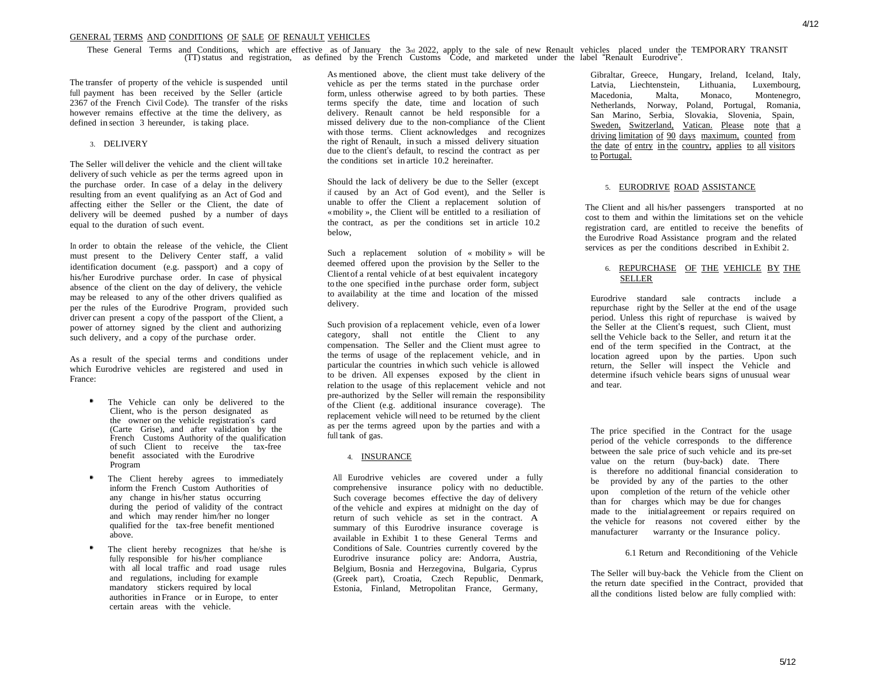These General Terms and Conditions, which are effective as of January the 3rd 2022, apply to the sale of new Renault vehicles placed under the TEMPORARY TRANSIT (TT) status and registration, as defined by the French Custom

The transfer of property of the vehicle is suspended until full payment has been received by the Seller (article 2367 of the French Civil Code). The transfer of the risks however remains effective at the time the delivery, as defined in section 3 hereunder, is taking place.

### 3. DELIVERY

The Seller will deliver the vehicle and the client will take delivery of such vehicle as per the terms agreed upon in the purchase order. In case of <sup>a</sup> delay in the delivery resulting from an event qualifying as an Act of God and affecting either the Seller or the Client, the date of delivery will be deemed pushed by a number of days equal to the duration of such event.

In order to obtain the release of the vehicle, the Client must present to the Delivery Center staff, a valid identification document (e.g. passport) and a copy of his/her Eurodrive purchase order. In case of physical absence of the client on the day of delivery, the vehicle may be released to any of the other drivers qualified as per the rules of the Eurodrive Program, provided such driver can present a copy of the passport of the Client, a power of attorney signed by the client and authorizing such delivery, and a copy of the purchase order.

As a result of the special terms and conditions under which Eurodrive vehicles are registered and used in France:

- The Vehicle can only be delivered to the Client, who is the person designated as the owner on the vehicle registration's card (Carte Grise), and after validation by the French Customs Authority of the qualification of such Client to receive the tax-free benefit associated with the Eurodrive Program
- The Client hereby agrees to immediately inform the French Custom Authorities of any change in his/her status occurring during the period of validity of the contract and which may render him/her no longer qualified for the tax-free benefit mentioned above.
- The client hereby recognizes that he/she is fully responsible for his/her compliance with all local traffic and road usage rules and regulations, including for example mandatory stickers required by local authorities in France or in Europe, to enter certain areas with the vehicle.

As mentioned above, the client must take delivery of the vehicle as per the terms stated in the purchase order form, unless otherwise agreed to by both parties. These terms specify the date, time and location of such delivery. Renault cannot be held responsible for a missed delivery due to the non-compliance of the Client with those terms. Client acknowledges and recognizes the right of Renault, in such <sup>a</sup> missed delivery situation due to the client's default, to rescind the contract as per the conditions set in article 10.2 hereinafter.

Should the lack of delivery be due to the Seller (except if caused by an Act of God event), and the Seller is unable to offer the Client a replacement solution of «mobility », the Client will be entitled to a resiliation of the contract, as per the conditions set in article 10.2 below,

Such a replacement solution of « mobility » will be deemed offered upon the provision by the Seller to the Client of <sup>a</sup> rental vehicle of at best equivalent incategory to the one specified in the purchase order form, subject to availability at the time and location of the missed delivery.

Such provision of a replacement vehicle, even of a lower category, shall not entitle the Client to any compensation. The Seller and the Client must agree to the terms of usage of the replacement vehicle, and in particular the countries in which such vehicle is allowed to be driven. All expenses exposed by the client in relation to the usage of this replacement vehicle and not pre-authorized by the Seller will remain the responsibility of the Client (e.g. additional insurance coverage). The replacement vehicle will need to be returned by the client as per the terms agreed upon by the parties and with a full tank of gas.

#### 4. INSURANCE

All Eurodrive vehicles are covered under a fully comprehensive insurance policy with no deductible. Such coverage becomes effective the day of delivery ofthe vehicle and expires at midnight on the day of return of such vehicle as set in the contract. A summary of this Eurodrive insurance coverage is available in Exhibit 1 to these General Terms and Conditions of Sale. Countries currently covered by the Eurodrive insurance policy are: Andorra, Austria, Belgium, Bosnia and Herzegovina, Bulgaria, Cyprus (Greek part), Croatia, Czech Republic, Denmark, Estonia, Finland, Metropolitan France, Germany,

Gibraltar, Greece, Hungary, Ireland, Iceland, Italy, Latvia, Liechtenstein, Lithuania, Luxembourg, Macedonia, Malta, Monaco, Montenegro, Netherlands, Norway, Poland, Portugal, Romania, San Marino, Serbia, Slovakia, Slovenia, Spain, Vatican. Please note that a driving limitation of 90 days maximum, counted from the date of entry in the country, applies to all visitors to Portugal.

#### 5. EURODRIVE ROAD ASSISTANCE

The Client and all his/her passengers transported at no cost to them and within the limitations set on the vehicle registration card, are entitled to receive the benefits of the Eurodrive Road Assistance program and the related services as per the conditions described in Exhibit 2.

### 6. REPURCHASE OF THE VEHICLE BY THE **SELLER**

Eurodrive standard sale contracts include a repurchase right by the Seller at the end of the usage period. Unless this right of repurchase is waived by the Seller at the Client's request, such Client, must sell the Vehicle back to the Seller, and return it at the end of the term specified in the Contract, at the location agreed upon by the parties. Upon such return, the Seller will inspect the Vehicle and determine ifsuch vehicle bears signs of unusual wear and tear.

The price specified in the Contract for the usage period of the vehicle corresponds to the difference between the sale price of such vehicle and its pre-set value on the return (buy-back) date. There is therefore no additional financial consideration to be provided by any of the parties to the other<br>the provided by any of the parties to the other<br>upon completion of the return of the vehicle other upon completion of the return of the vehicle other<br>than for charges which may be due for changes<br>made to the initialagreement or repairs required on the vehicle for reasons not covered either by the manufacturer warranty or the Insurance policy. made to the initial agreement or repairs required on

6.1 Return and Reconditioning of the Vehicle

The Seller will buy-back the Vehicle from the Client on the return date specified in the Contract, provided that all the conditions listed below are fully complied with: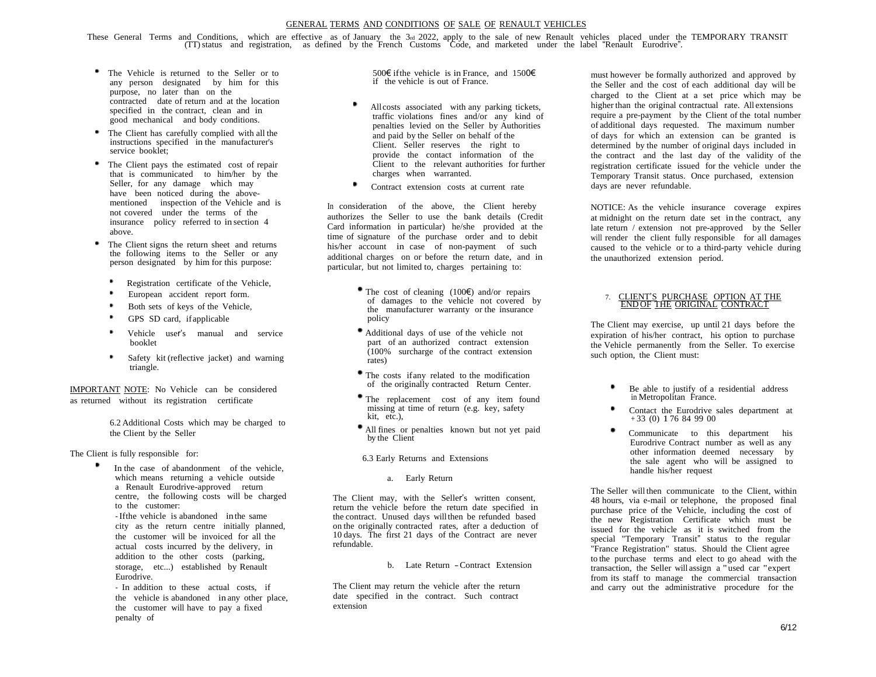These General Terms and Conditions, which are effective as of January the 3rd 2022, apply to the sale of new Renault vehicles placed under the TEMPORARY TRANSIT (TT)status and registration, as defined by the French Customs Code, and marketed under the label "Renault Eurodrive".

- The Vehicle is returned to the Seller or to any person designated by him for this purpose, no later than on the contracted date of return and at the location specified in the contract, clean and in good mechanical and body conditions.
- The Client has carefully complied with all the instructions specified in the manufacturer's service booklet;
- The Client pays the estimated cost of repair that is communicated to him/her by the Seller, for any damage which may Seller, for any damage which may<br>have been noticed during the above-<br>mentioned inspection of the Vehicle and is<br>the vehicle and is mentioned inspection of the Vehicle and is<br>not covered under the terms of the insurance policy referred to in section 4 above.
- The Client signs the return sheet and returns the following items to the Seller or any person designated by him for this purpose:
	- Registration certificate of the Vehicle,
	- European accident report form.
	- Both sets of keys of the Vehicle,
	- ٠ GPS SD card, if applicable
	- Vehicle user's manual and service booklet
	- ٠ Safety kit (reflective jacket) and warning triangle.

IMPORTANT NOTE: No Vehicle can be considered as returned without its registration certificate

> 6.2 Additional Costs which may be charged to the Client by the Seller

The Client is fully responsible for:

In the case of abandonment of the vehicle, which means returning a vehicle outside a Renault Eurodrive-approved return centre, the following costs will be charged to the customer:

- Ifthe vehicle is abandoned inthe same city as the return centre initially planned, the customer will be invoiced for all the actual costs incurred by the delivery, in addition to the other costs (parking, storage, etc...) established by Renault Eurodrive.

- In addition to these actual costs, if the vehicle is abandoned in any other place, the customer will have to pay <sup>a</sup> fixed penalty of

500€ ifthe vehicle is in France, and 1500€ if the vehicle is out of France.

- All costs associated with any parking tickets, traffic violations fines and/or any kind of penalties levied on the Seller by Authorities and paid by the Seller on behalf of the Client. Seller reserves the right to provide the contact information of the Client to the relevant authorities for further charges when warranted.
- Contract extension costs at current rate

In consideration of the above, the Client hereby authorizes the Seller to use the bank details (Credit Card information in particular) he/she provided at the time of signature of the purchase order and to debit his/her account in case of non-payment of such additional charges on or before the return date, and in particular, but not limited to, charges pertaining to:

- The cost of cleaning  $(100\epsilon)$  and/or repairs of damages to the vehicle not covered by the manufacturer warranty or the insurance policy
- Additional days of use of the vehicle not part of an authorized contract extension  $(100\%$  surcharge of the contract extension rates)
- The costs ifany related to the modification of the originally contracted Return Center.
- The replacement cost of any item found missing at time of return (e.g. key, safety kit, etc.),
- All fines or penalties known but not yet paid by the Client

6.3 Early Returns and Extensions

## a. Early Return

The Client may, with the Seller'<sup>s</sup> written consent, return the vehicle before the return date specified in the contract. Unused days willthen be refunded based on the originally contracted rates, after a deduction of <sup>10</sup> days. The first <sup>21</sup> days of the Contract are never refundable.

b. Late Return -Contract Extension

The Client may return the vehicle after the return date specified in the contract. Such contract extension

must however be formally authorized and approved by the Seller and the cost of each additional day will be charged to the Client at a set price which may be higher than the original contractual rate. All extensions require a pre-payment by the Client of the total number of additional days requested. The maximum number of days for which an extension can be granted is determined by the number of original days included in the contract and the last day of the validity of the registration certificate issued for the vehicle under the Temporary Transit status. Once purchased, extension days are never refundable.

NOTICE: As the vehicle insurance coverage expires at midnight on the return date set in the contract, any late return / extension not pre-approved by the Seller will render the client fully responsible for all damages caused to the vehicle or to a third-party vehicle during the unauthorized extension period.

## 7. CLIENT'S PURCHASE OPTION AT THE END OF THE ORIGINAL CONTRACT

The Client may exercise, up until 21 days before the expiration of his/her contract, his option to purchase the Vehicle permanently from the Seller. To exercise such option, the Client must:

- Be able to justify of a residential address in Metropolitan France.
- Contact the Eurodrive sales department at + 33 (0) 1 76 84 99 00
- Communicate to this department his Eurodrive Contract number as well as any other information deemed necessary by the sale agent who will be assigned to handle his/her request

The Seller will then communicate to the Client, within 48 hours, via e-mail or telephone, the proposed final purchase price of the Vehicle, including the cost of the new Registration Certificate which must be issued for the vehicle as it is switched from the special "Temporary Transit" status to the regular "France Registration" status. Should the Client agree to the purchase terms and elect to go ahead with the transaction, the Seller will assign <sup>a</sup> "used car "expert from its staff to manage the commercial transaction and carry out the administrative procedure for the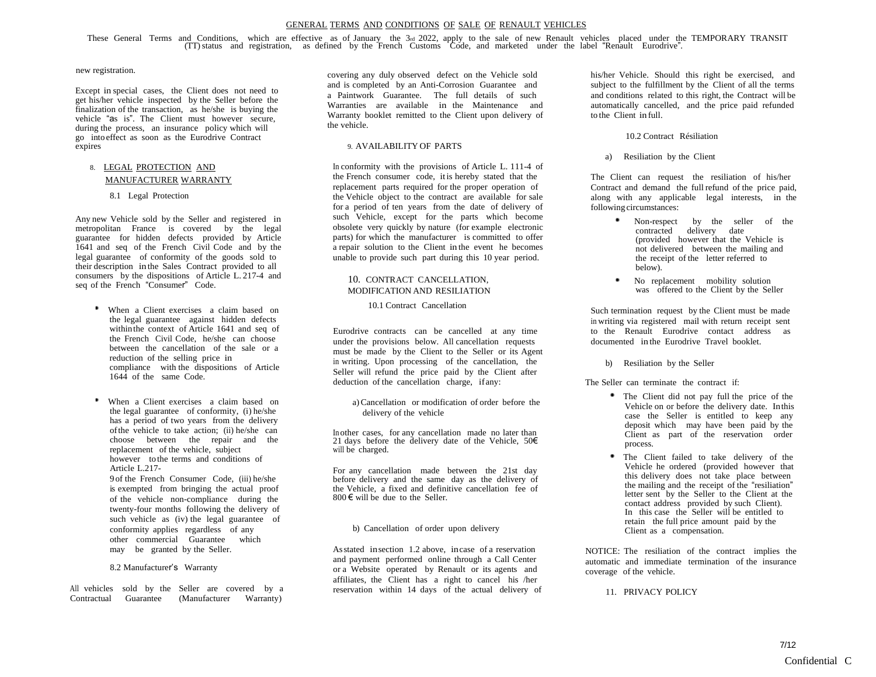These General Terms and Conditions, which are effective as of January the 3rd 2022, apply to the sale of new Renault vehicles placed under the TEMPORARY TRANSIT (TT) status and registration, as defined by the French Custom

## new registration.

Except in special cases, the Client does not need to get his/her vehicle inspected by the Seller before the finalization of the transaction, as he/she is buying the vehicle "as is". The Client must however secure, during the process, an insurance policy which will go into effect as soon as the Eurodrive Contract expires

# 8. LEGAL PROTECTION AND MANUFACTURER WARRANTY

### 8.1 Legal Protection

Any new Vehicle sold by the Seller and registered in metropolitan France is covered by the legal guarantee for hidden defects provided by Article 1641 and seq of the French Civil Code and by the legal guarantee of conformity of the goods sold to their description in the Sales Contract provided to all consumers by the dispositions of Article L. 217-4 and seq of the French "Consumer" Code.

- When a Client exercises a claim based on the legal guarantee against hidden defects withinthe context of Article 1641 and seq of the French Civil Code, he/she can choose between the cancellation of the sale or a reduction of the selling price in compliance with the dispositions of Article 1644 of the same Code.
- When a Client exercises a claim based on the legal guarantee of conformity, (i) he/she has a period of two years from the delivery ofthe vehicle to take action; (ii) he/she can choose between the repair and the replacement of the vehicle, subject however to the terms and conditions of Article L.217- 9 of the French Consumer Code, (iii) he/she is exempted from bringing the actual proof

of the vehicle non-compliance during the twenty-four months following the delivery of such vehicle as (iv) the legal guarantee of conformity applies regardless of any other commercial Guarantee which may be granted by the Seller.

## 8.2 Manufacturer's Warranty

All vehicles sold by the Seller are covered by a Contractual Guarantee (Manufacturer Warranty)

covering any duly observed defect on the Vehicle sold and is completed by an Anti-Corrosion Guarantee and <sup>a</sup> Paintwork Guarantee. The full details of such Warranties are available in the Maintenance and Warranty booklet remitted to the Client upon delivery of the vehicle.

## 9. AVAILABILITY OF PARTS

In conformity with the provisions of Article L. 111-4 of the French consumer code, itis hereby stated that the replacement parts required for the proper operation of the Vehicle object to the contract are available for sale for a period of ten years from the date of delivery of such Vehicle, except for the parts which become obsolete very quickly by nature (for example electronic parts) for which the manufacturer is committed to offer a repair solution to the Client in the event he becomes unable to provide such part during this 10 year period.

# 10. CONTRACT CANCELLATION, MODIFICATION AND RESILIATION

10.1 Contract Cancellation

Eurodrive contracts can be cancelled at any time under the provisions below. All cancellation requests must be made by the Client to the Seller or its Agent in writing. Upon processing of the cancellation, the Seller will refund the price paid by the Client after deduction of the cancellation charge, ifany:

a)Cancellation or modification of order before the delivery of the vehicle

In other cases, for any cancellation made no later than 21 days before the delivery date of the Vehicle,  $50\epsilon$ will be charged.

For any cancellation made between the 21st day before delivery and the same day as the delivery of the Vehicle, a fixed and definitive cancellation fee of 800  $\epsilon$  will be due to the Seller.

## b) Cancellation of order upon delivery

Asstated insection 1.2 above, incase of <sup>a</sup> reservation and payment performed online through <sup>a</sup> Call Center or <sup>a</sup> Website operated by Renault or its agents and affiliates, the Client has <sup>a</sup> right to cancel his /her reservation within 14 days of the actual delivery of his/her Vehicle. Should this right be exercised, and subject to the fulfillment by the Client of all the terms and conditions related to this right, the Contract will be automatically cancelled, and the price paid refunded to the Client in full.

## 10.2 Contract Résiliation

a) Resiliation by the Client

The Client can request the resiliation of his/her Contract and demand the full refund of the price paid, along with any applicable legal interests, in the following circumstances:

- Non-respect by the seller of the contracted delivery date (provided however that the Vehicle is not delivered between the mailing and the receipt of the letter referred to below).
- No replacement mobility solution was offered to the Client by the Seller

Such termination request by the Client must be made in writing via registered mail with return receipt sent to the Renault Eurodrive contact address as documented in the Eurodrive Travel booklet.

b) Resiliation by the Seller

The Seller can terminate the contract if:

- The Client did not pay full the price of the Vehicle on or before the delivery date. Inthis case the Seller is entitled to keep any deposit which may have been paid by the Client as part of the reservation order process.
- The Client failed to take delivery of the Vehicle he ordered (provided however that this delivery does not take place between the mailing and the receipt of the "resiliation" letter sent by the Seller to the Client at the contact address provided by such Client). In this case the Seller will be entitled to retain the full price amount paid by the Client as a compensation.

NOTICE: The resiliation of the contract implies the automatic and immediate termination of the insurance coverage of the vehicle.

11. PRIVACY POLICY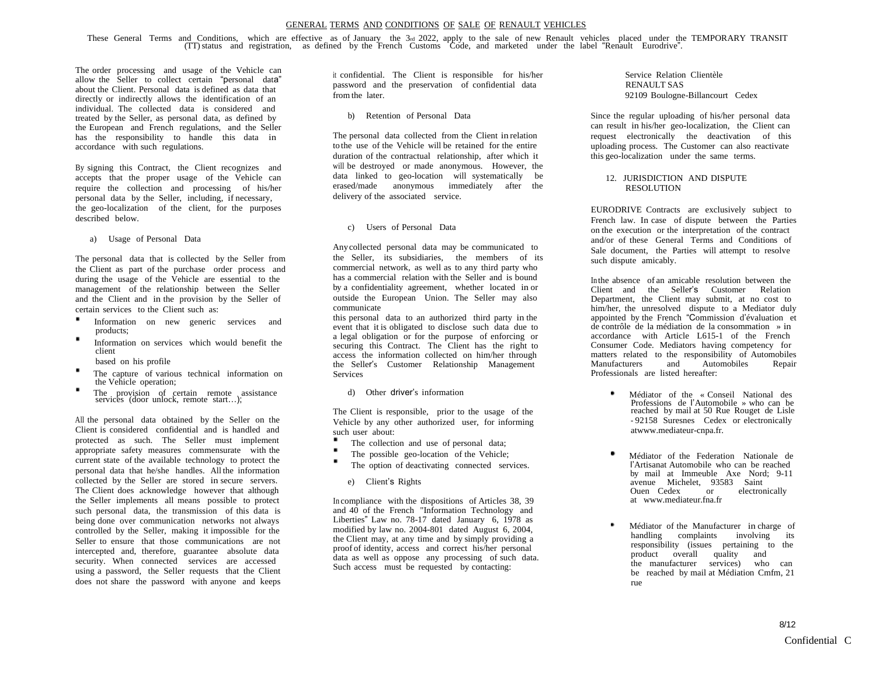These General Terms and Conditions, which are effective as of January the 3rd 2022, apply to the sale of new Renault vehicles placed under the TEMPORARY TRANSIT (TT) status and registration, as defined by the French Custom

The order processing and usage of the Vehicle can allow the Seller to collect certain "personal data" about the Client. Personal data is defined as data that directly or indirectly allows the identification of an individual. The collected data is considered and treated by the Seller, as personal data, as defined by the European and French regulations, and the Seller has the responsibility to handle this data in accordance with such regulations.

By signing this Contract, the Client recognizes and accepts that the proper usage of the Vehicle can accepts that the proper usage of the venicle can<br>require the collection and processing of his/her<br>personal data by the Seller, including, if necessary, the geo-localization of the client, for the purposes described below.

a) Usage of Personal Data

The personal data that is collected by the Seller from the Client as part of the purchase order process and during the usage of the Vehicle are essential to the management of the relationship between the Seller and the Client and in the provision by the Seller of certain services to the Client such as:

- Information on new generic services and products;
- Information on services which would benefit the client

based on his profile

- The capture of various technical information on the Vehicle operation;
- The provision of certain remote assistance services (door unlock, remote start…);

All the personal data obtained by the Seller on the Client is considered confidential and is handled and protected as such. The Seller must implement appropriate safety measures commensurate with the current state of the available technology to protect the personal data that he/she handles. All the information collected by the Seller are stored in secure servers. collected by the Seller are stored in secure servers.<br>The Client does acknowledge however that although the Seller implements all means possible to protect such personal data, the transmission of this data is being done over communication networks not always controlled by the Seller, making it impossible for the Seller to ensure that those communications are not Seller to ensure that those communications are not intercepted and, therefore, guarantee absolute data security. When connected services are accessed using a password, the Seller requests that the Client does not share the password with anyone and keeps

it confidential. The Client is responsible for his/her password and the preservation of confidential data from the later.

b) Retention of Personal Data

The personal data collected from the Client in relation to the use of the Vehicle will be retained for the entire duration of the contractual relationship, after which it will be destroyed or made anonymous. However, the data linked to geo-location will systematically be erased/made anonymous immediately after the delivery of the associated service.

c) Users of Personal Data

Anycollected personal data may be communicated to the Seller, its subsidiaries, the members of its commercial network, as well as to any third party who has <sup>a</sup> commercial relation with the Seller and is bound by a confidentiality agreement, whether located in or outside the European Union. The Seller may also communicate

this personal data to an authorized third party in the event that it is obligated to disclose such data due to a legal obligation or for the purpose of enforcing or securing this Contract. The Client has the right to securing this Contract. The Client has the right to<br>access the information collected on him/her through<br>the Seller's Customer Relationship Management **Services** 

d) Other driver's information

The Client is responsible, prior to the usage of the Vehicle by any other authorized user, for informing such user about:

- The collection and use of personal data;
- The possible geo-location of the Vehicle;
- The option of deactivating connected services.
	- e) Client's Rights

In compliance with the dispositions of Articles 38, 39 and <sup>40</sup> of the French "Information Technology and Liberties" Law no. 78-17 dated January 6, <sup>1978</sup> as modified by law no. 2004-801 dated August 6, 2004, the Client may, at any time and by simply providing a proof of identity, access and correct his/her personal data as well as oppose any processing of such data. Such access must be requested by contacting:

Service Relation Clientèle RENAULT SAS 92109 Boulogne-Billancourt Cedex

Since the regular uploading of his/her personal data can result in his/her geo-localization, the Client can request electronically the deactivation of this uploading process. The Customer can also reactivate this geo-localization under the same terms.

# 12. JURISDICTION AND DISPUTE RESOLUTION

EURODRIVE Contracts are exclusively subject to French law. In case of dispute between the Parties on the execution or the interpretation of the contract and/or of these General Terms and Conditions of Sale document, the Parties will attempt to resolve such dispute amicably.

Inthe absence of an amicable resolution between the Client and the Seller's Customer Relation Department, the Client may submit, at no cost to him/her, the unresolved dispute to a Mediator duly appointed by the French "Commission d'évaluation et de contrôle de la médiation de la consommation » in accordance with Article L615-1 of the French Consumer Code. Mediators having competency for matters related to the responsibility of Automobiles<br>Manufacturers and Automobiles Repair **Manufacturers** Professionals are listed hereafter:

- Médiator of the « Conseil National des Professions de l'Automobile » who can be reached by mail at 50 Rue Rouget de Lisle - 92158 Suresnes Cedex or electronically atwww.mediateur-cnpa.fr.
- Médiator of the Federation Nationale de l'Artisanat Automobile who can be reached by mail at Immeuble Axe Nord; 9-11 avenue Michelet, 93583 Saint Ouen Cedex or electronically at www.mediateur.fna.fr
- Médiator of the Manufacturer in charge of handling complaints involving its responsibility (issues pertaining to the product overall quality and the manufacturer services) who can be reached by mail at Médiation Cmfm, 21 rue

8/12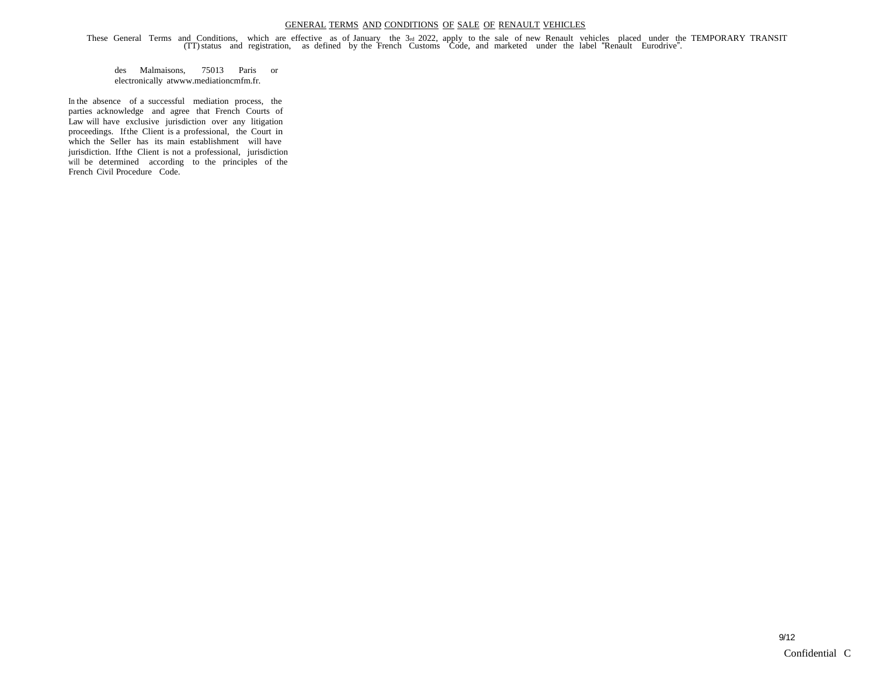These General Terms and Conditions, which are effective as of January the 3rd 2022, apply to the sale of new Renault vehicles placed under the TEMPORARY TRANSIT<br>(TT) status and registration, as defined by the French Custom

des Malmaisons, 75013 Paris or electronically atwww.mediationcmfm.fr.

In the absence of <sup>a</sup> successful mediation process, the parties acknowledge and agree that French Courts of Law will have exclusive jurisdiction over any litigation proceedings. Ifthe Client is a professional, the Court in which the Seller has its main establishment will have jurisdiction. Ifthe Client is not a professional, jurisdiction will be determined according to the principles of the French Civil Procedure Code.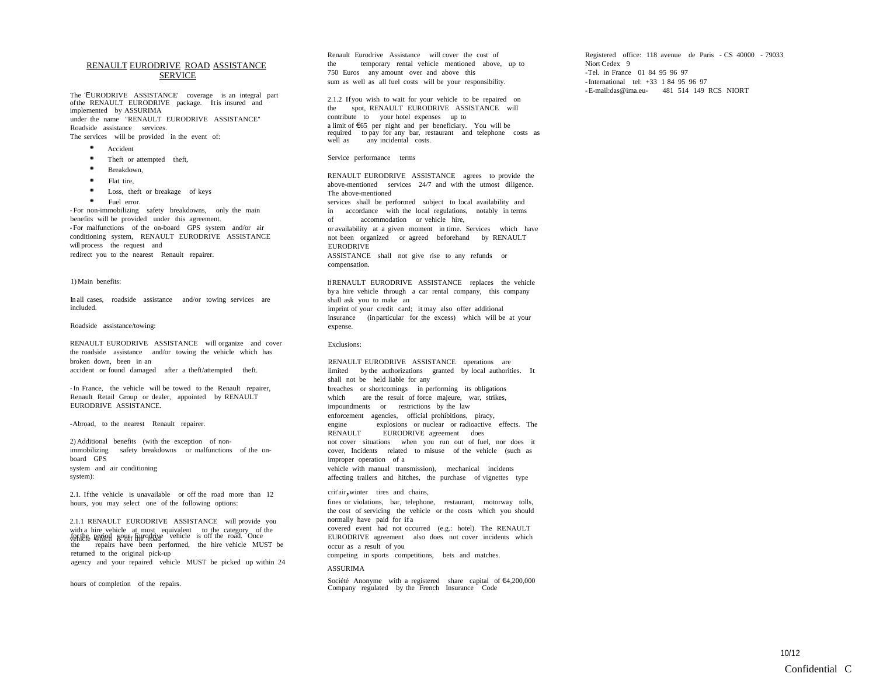## RENAULT EURODRIVE ROAD ASSISTANCE **SERVICE**

The 'EURODRIVE ASSISTANCE' coverage is an integral part ofthe RENAULT EURODRIVE package. Itis insured and implemented by ASSURIMA under the name "RENAULT EURODRIVE ASSISTANCE" Roadside assistance services.

The services will be provided in the event of:

- \* Accident
- Theft or attempted theft,
- $\ddot{\phantom{1}}$ Breakdown,
- Flat tire,
- Loss, theft or breakage of keys
- . Fuel error.

- For non-immobilizing safety breakdowns, only the main benefits will be provided under this agreement. - For malfunctions of the on-board GPS system and/or air conditioning system, RENAULT EURODRIVE ASSISTANCE will process the request and redirect you to the nearest Renault repairer.

#### 1)Main benefits:

In all cases, roadside assistance and/or towing services are included.

#### Roadside assistance/towing:

RENAULT EURODRIVE ASSISTANCE will organize and cover the roadside assistance and/or towing the vehicle which has broken down, been in an accident or found damaged after a theft/attempted theft.

-In France, the vehicle will be towed to the Renault repairer, Renault Retail Group or dealer, appointed by RENAULT EURODRIVE ASSISTANCE.

-Abroad, to the nearest Renault repairer.

2)Additional benefits (with the exception of nonimmobilizing safety breakdowns or malfunctions of the onboard GPS system and air conditioning system):

2.1. Ifthe vehicle is unavailable or off the road more than 12 hours, you may select one of the following options:

for the period your Eurodrive vehicle is off the road. Once 2.1.1 RENAULT EURODRIVE ASSISTANCE will provide you<br>with a hire vehicle at most equivalent to the category of the<br>for the period would will hire vehicle is off the road. Once<br>the repairs have been performed, the hire vehic returned to the original pick-up agency and your repaired vehicle MUST be picked up within 24 2.1.1 RENAULT EURODRIVE ASSISTANCE will provide you with a hire vehicle at most equivalent to the category of the vehicle as off the road. Once

hours of completion of the repairs.

Renault Eurodrive Assistance will cover the cost of Renault Eurodrive Assistance will cover the cost of<br>the temporary rental vehicle mentioned above, up to<br>750 Euros any amount over and above this the temporary rental vehicle mentioned above, up to 750 Euros any amount over and above this sum as well as all fuel costs will be your responsibility.

2.1.2 Ifyou wish to wait for your vehicle to be repaired on sum as well as all fuel costs will be your responsibility.<br>
2.1.2 If you wish to wait for your vehicle to be repaired on<br>
the spot, RENAULT EURODRIVE ASSISTANCE will<br>
contribute to your hotel expenses up to the spot, RENAULT EURODRIVE ASSISTANCE will contribute to your hotel expenses up to a limit of €65 per night and per beneficiary. You will be required to pay for any bar, restaurant and telephone costs as<br>well as any incidental costs. we spot, KENNELL ENNOUR<br>a limit of C65 per night and per<br>required to pay for any bar, re<br>well as any incidental costs.

#### Service performance terms

RENAULT EURODRIVE ASSISTANCE agrees to provide the above-mentioned services 24/7 and with the utmost diligence. The above-mentioned services shall be performed subject to local availability and The above-mentioned<br>
services shall be performed subject to local availability and<br>
in accordance with the local regulations, notably in terms<br>
of accommodation or vehicle hire,<br>
or availability at a given moment in time S or availability at a given moment in time. Services which have not been organized or agreed beforehand by RENAULT **EURODRIVE** ASSISTANCE shall not give rise to any refunds or compensation. If RENAULT EURODRIVE ASSISTANCE replaces the vehicle by a hire vehicle through a car rental company, this company shall ask you to make an imprint of your credit card; itmay also offer additional insurance (inparticular for the excess) which will be at your expense. Exclusions: RENAULT EURODRIVE ASSISTANCE operations are limited by the authorizations granted by local authorities. It shall not be held liable for any breaches or shortcomings in performing its obligations limited by the authorizations granted by local authorizations<br>
shall not be held liable for any<br>
breaches or shortcomings in performing its obligations<br>
which are the result of force majeure, war, strikes,<br>
impoundments or enforcement agencies, official prohibitions, piracy, which are the result of force majeure, war, strikes,<br>impoundments or restrictions by the law<br>enforcement agencies, official prohibitions, piracy,<br>engine explosions or nuclear or radioactive<br>RENAULT EURODRIVE agreement does impoundments or restrictions by the law<br>enforcement agencies, official prohibitions, piragine<br>RENAULT EURODRIVE agreement does<br>not cover situations when you run out of fue

not cover situations when you run out of fuel, nor does it cover, Incidents related to misuse of the vehicle (such as improper operation of a vehicle with manual transmission), mechanical incidents affecting trailers and hitches, the purchase of vignettes type

crit'air,winter tires and chains, fines or violations, bar, telephone, restaurant, motorway tolls, the cost of servicing the vehicle or the costs which you should normally have paid for if a covered event had not occurred (e.g.: hotel). The RENAULT

EURODRIVE agreement also does not cover incidents which occur as a result of you

competing in sports competitions, bets and matches.

#### ASSURIMA

Société Anonyme with a registered share capital of €4,200,000 Company regulated by the French Insurance Code

Registered office: 118 avenue de Paris - CS 40000 - 79033 -Tel. in France 01 84 95 96 97 -International tel: +33 1 84 95 96 97 -E-mail:das@ima.eu- 481 514 149 RCS NIORT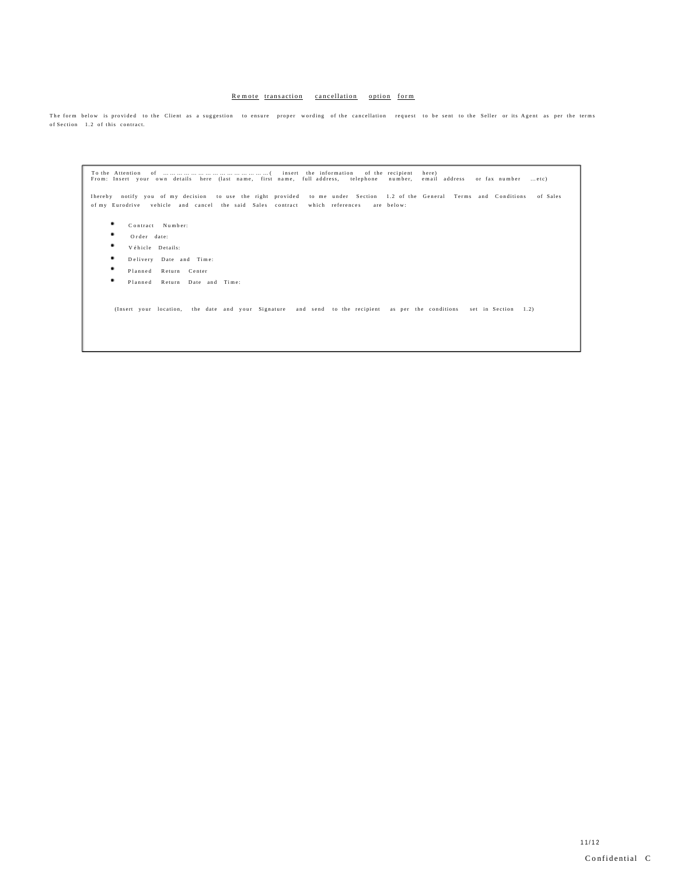# Remote transaction cancellation option form

The form below is provided to the Client as a suggestion to ensure proper wording of the cancellation request to be sent to the Seller or its Agent as per the terms of Section 1.2 of this contract.

T o t h e A tte nti o n o f … … … … … … … … … … … … … … … ( i n s e rt t h e i nf o r m a ti o n o f t h e re c i pie nt h e r e ) F r o m : I n s e rt y o u r o w n d e t a ils h e r e (la st n a m e , first n a m e , f ull a d d r e s s , te le p h o n e n u m b e r, e m a il a d d r e s s o r fa x n u m b e r … e t c )

lhereby notify you of my decision to use the right provided to me under Section 1.2 of the General Terms and Conditions of-Sales<br>of-my Eurodrive vehicle and cancel the said Sales contract which references are below:

- $\bullet$  Contract Number:
- ٠. Order date:
- V é hicle Details:
- $\bullet \qquad \text{D delivery} \quad \text{Date} \quad \text{and} \quad \text{Time:}$
- Planned Return Center
- Planned Return Date and Time:

(Insert your location, the date and your Signature and send to the recipient as per the conditions set in Section 1.2)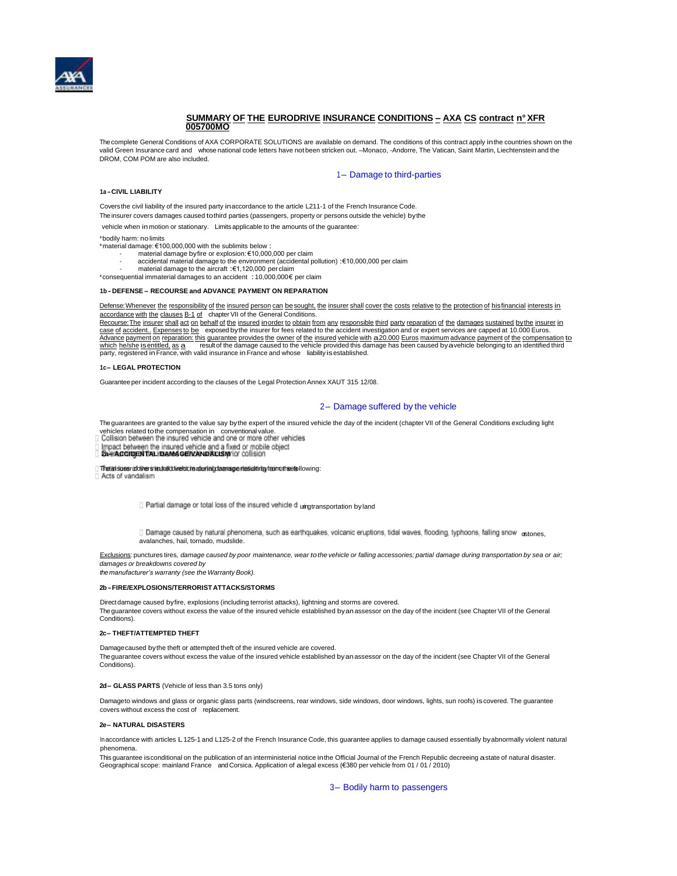

# **SUMMARY OF THE EURODRIVE INSURANCE CONDITIONS – AXA CS contract n°XFR 005700MO**

The complete General Conditions of AXA CORPORATE SOLUTIONS are available on demand. The conditions of this contract apply inthe countries shown on the valid Green Insurance card and whose national code letters have not been stricken out. –Monaco, -Andorre, The Vatican, Saint Martin, Liechtenstein and the DROM, COM POM are also included.

## 1- Damage to third-parties

#### **1a -CIVIL LIABILITY**

Coversthe civil liability of the insured party inaccordance to the article L211-1 of the French Insurance Code. The insurer covers damages caused tothird parties (passengers, property or persons outside the vehicle) bythe

vehicle when in motion or stationary. Limits applicable to the amounts of the guarantee:

#### \*bodily harm: no limits

\*material damage: €100,000,000 with the sublimits below :

- material damage byfire or explosion: €10,000,000 per claim - accidental material damage to the environment (accidental pollution) :€10,000,000 per claim
- material damage to the aircraft :€1,120,000 per claim

\*consequential immaterial damages to an accident :10,000,000€ per claim

#### **1b -DEFENSE – RECOURSE and ADVANCE PAYMENT ON REPARATION**

Defense: Whenever the responsibility of the insured person can be sought, the insurer shall cover the costs relative to the protection of hisfinancial interests in accordance with the clauses B-1 of chapter VII of the General Conditions.

Recourse: The insurer shall act on behalf of the insured inorder to obtain from any responsible third party reparation of the damages sustained by the insurer in<br>case of accident.. Expenses to be exposed by the insurer for Advance payment on reparation: this guarantee provides the owner of the insured vehicle with a 20.000 Euros maximum advance payment of the compensation to which he/she is entitled, as a result of the damage caused to the v Recourse: The insurer shall act on behalf of the insured inorder to obtain from any responsible third party reparation of the damages sustained by the insurer in<br>case of accident.. Expenses to be exposed by the insurer for must here is continued. The control of the damage caused to the vehicle provided this daparty, registered in France, with valid insurance in France and whose liability is established.

#### **1c– LEGAL PROTECTION**

Guaranteeper incident according to the clauses of the Legal Protection Annex XAUT 315 12/08.

# 2– Damage suffered by the vehicle

The guarantees are granted to the value say bythe expert of the insured vehicle the day of the incident (chapter VII of the General Conditions excluding light vehicles related to the compensation in conventional value.<br>Collision between the insured vehicle and one or more other vehicles

**Impact between the insured vehicle and a fixed or mobile object the property of the insured and a fixed property of the object** 

The insiderer covers in truth direct material damage resulting from the following:<br>[] Acts of vandalism

Partial damage or total loss of the insured vehicle d ungtransportation by land

[] Damage caused by natural phenomena, such as earthquakes, volcanic eruptions, tidal waves, flooding, typhoons, falling snow ostones, avalanches, hail, tornado, mudslide.

Exclusions: punctures tires, damage caused by poor maintenance, wear to the vehicle or falling accessories; partial damage during transportation by sea or air; *damages or breakdowns covered by themanufacturer's warranty (see the Warranty Book).*

#### **2b-FIRE/EXPLOSIONS/TERRORIST ATTACKS/STORMS**

Directdamage caused byfire, explosions (including terrorist attacks), lightning and storms are covered. The guarantee covers without excess the value of the insured vehicle established byanassessor on the day of the incident (see Chapter VII of the General Conditions).

#### **2c– THEFT/ATTEMPTED THEFT**

Damagecaused bythe theft or attempted theft of the insured vehicle are covered. The guarantee covers without excess the value of the insured vehicle established byanassessor on the day of the incident (see Chapter VII of the General Conditions).

#### **2d– GLASS PARTS** (Vehicle of less than 3.5 tons only)

Damageto windows and glass or organic glass parts (windscreens, rear windows, side windows, door windows, lights, sun roofs) iscovered. The guarantee covers without excess the cost of replacement.

### **2e– NATURAL DISASTERS**

Inaccordance with articles L125-1 and L125-2 of the French Insurance Code, this guarantee applies to damage caused essentially byabnormally violent natural phenomena.

This guarantee isconditional on the publication of an interministerial notice inthe Official Journal of the French Republic decreeing astate of natural disaster. Geographical scope: mainland France andCorsica. Application of alegal excess (€380 per vehicle from 01 / 01 / 2010)

3– Bodily harm to passengers